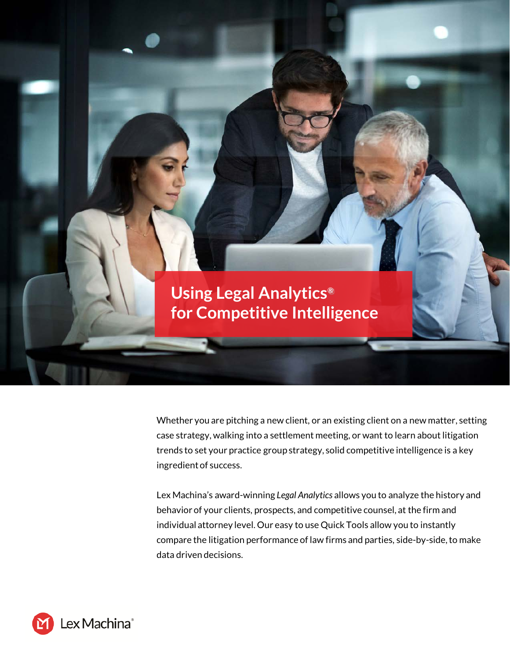

Whether you are pitching a new client, or an existing client on a new matter, setting case strategy, walking into a settlement meeting, or want to learn about litigation trends to set your practice group strategy, solid competitive intelligence is a key ingredient of success.

Lex Machina's award-winning *Legal Analytics* allows you to analyze the history and behavior of your clients, prospects, and competitive counsel, at the firm and individual attorney level. Our easy to use Quick Tools allow you to instantly compare the litigation performance of law firms and parties, side-by-side, to make data driven decisions.